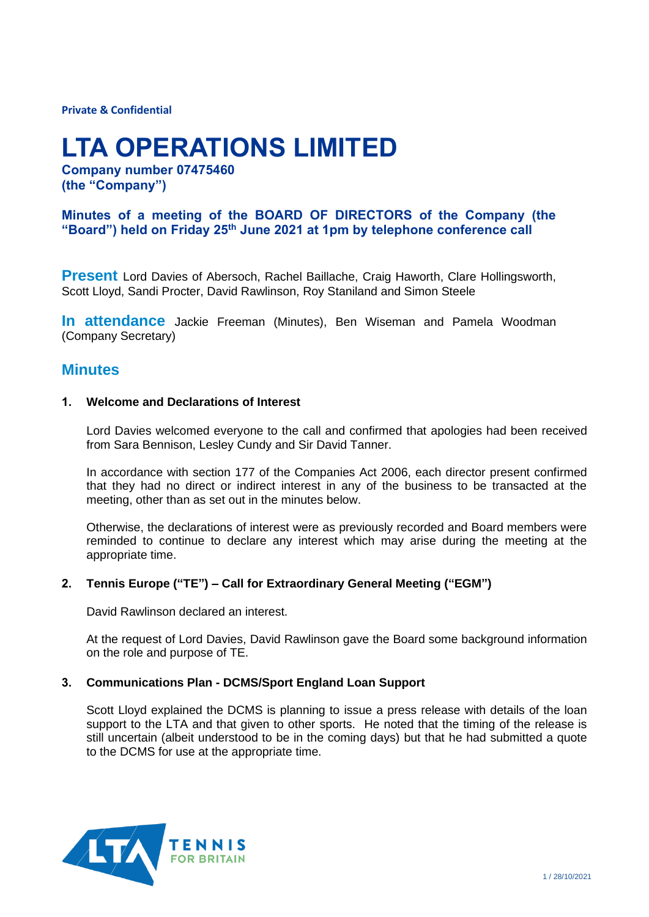**Private & Confidential**

# **LTA OPERATIONS LIMITED**

**Company number 07475460 (the "Company")**

### **Minutes of a meeting of the BOARD OF DIRECTORS of the Company (the "Board") held on Friday 25th June 2021 at 1pm by telephone conference call**

**Present** Lord Davies of Abersoch, Rachel Baillache, Craig Haworth, Clare Hollingsworth, Scott Lloyd, Sandi Procter, David Rawlinson, Roy Staniland and Simon Steele

**In attendance** Jackie Freeman (Minutes), Ben Wiseman and Pamela Woodman (Company Secretary)

## **Minutes**

#### **1. Welcome and Declarations of Interest**

Lord Davies welcomed everyone to the call and confirmed that apologies had been received from Sara Bennison, Lesley Cundy and Sir David Tanner.

In accordance with section 177 of the Companies Act 2006, each director present confirmed that they had no direct or indirect interest in any of the business to be transacted at the meeting, other than as set out in the minutes below.

Otherwise, the declarations of interest were as previously recorded and Board members were reminded to continue to declare any interest which may arise during the meeting at the appropriate time.

#### **2. Tennis Europe ("TE") – Call for Extraordinary General Meeting ("EGM")**

David Rawlinson declared an interest.

At the request of Lord Davies, David Rawlinson gave the Board some background information on the role and purpose of TE.

#### **3. Communications Plan - DCMS/Sport England Loan Support**

Scott Lloyd explained the DCMS is planning to issue a press release with details of the loan support to the LTA and that given to other sports. He noted that the timing of the release is still uncertain (albeit understood to be in the coming days) but that he had submitted a quote to the DCMS for use at the appropriate time.